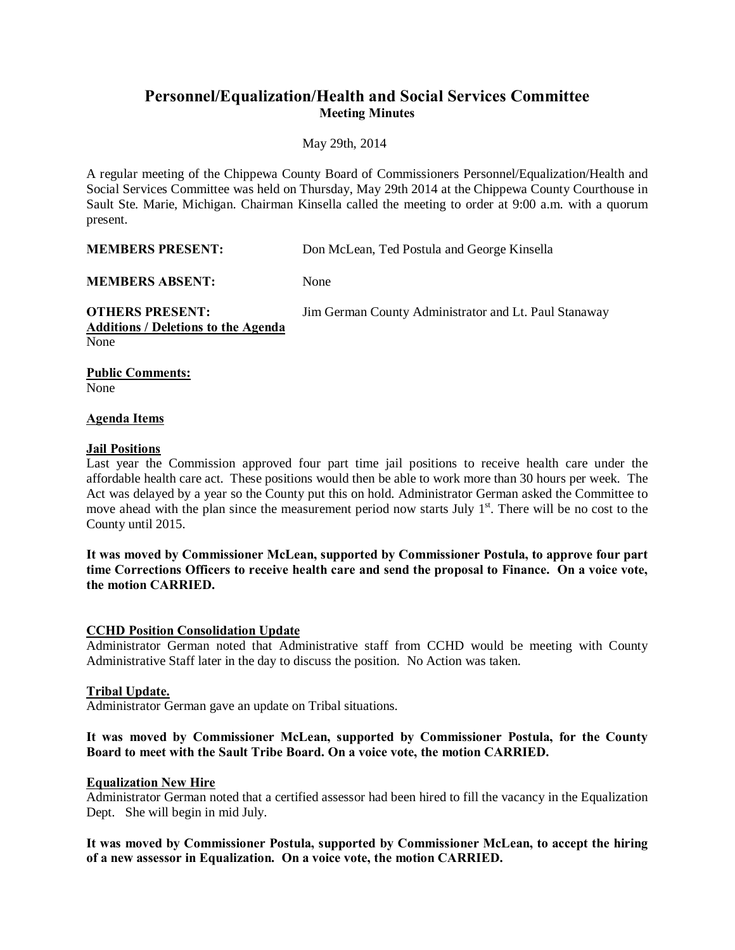# **Personnel/Equalization/Health and Social Services Committee Meeting Minutes**

May 29th, 2014

A regular meeting of the Chippewa County Board of Commissioners Personnel/Equalization/Health and Social Services Committee was held on Thursday, May 29th 2014 at the Chippewa County Courthouse in Sault Ste. Marie, Michigan. Chairman Kinsella called the meeting to order at 9:00 a.m. with a quorum present.

**MEMBERS PRESENT:** Don McLean, Ted Postula and George Kinsella

**MEMBERS ABSENT:** None

**OTHERS PRESENT:** Jim German County Administrator and Lt. Paul Stanaway **Additions / Deletions to the Agenda**

None

**Public Comments:**  None

## **Agenda Items**

## **Jail Positions**

Last year the Commission approved four part time jail positions to receive health care under the affordable health care act. These positions would then be able to work more than 30 hours per week. The Act was delayed by a year so the County put this on hold. Administrator German asked the Committee to move ahead with the plan since the measurement period now starts July  $1<sup>st</sup>$ . There will be no cost to the County until 2015.

**It was moved by Commissioner McLean, supported by Commissioner Postula, to approve four part time Corrections Officers to receive health care and send the proposal to Finance. On a voice vote, the motion CARRIED.**

## **CCHD Position Consolidation Update**

Administrator German noted that Administrative staff from CCHD would be meeting with County Administrative Staff later in the day to discuss the position. No Action was taken.

## **Tribal Update.**

Administrator German gave an update on Tribal situations.

## **It was moved by Commissioner McLean, supported by Commissioner Postula, for the County Board to meet with the Sault Tribe Board. On a voice vote, the motion CARRIED.**

## **Equalization New Hire**

Administrator German noted that a certified assessor had been hired to fill the vacancy in the Equalization Dept. She will begin in mid July.

**It was moved by Commissioner Postula, supported by Commissioner McLean, to accept the hiring of a new assessor in Equalization. On a voice vote, the motion CARRIED.**